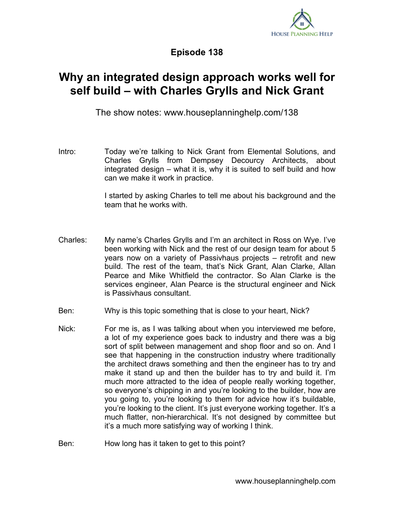

**Episode 138**

## **Why an integrated design approach works well for self build – with Charles Grylls and Nick Grant**

The show notes: www.houseplanninghelp.com/138

Intro: Today we're talking to Nick Grant from Elemental Solutions, and Charles Grylls from Dempsey Decourcy Architects, about integrated design – what it is, why it is suited to self build and how can we make it work in practice.

> I started by asking Charles to tell me about his background and the team that he works with.

- Charles: My name's Charles Grylls and I'm an architect in Ross on Wye. I've been working with Nick and the rest of our design team for about 5 years now on a variety of Passivhaus projects – retrofit and new build. The rest of the team, that's Nick Grant, Alan Clarke, Allan Pearce and Mike Whitfield the contractor. So Alan Clarke is the services engineer, Alan Pearce is the structural engineer and Nick is Passivhaus consultant.
- Ben: Why is this topic something that is close to your heart, Nick?
- Nick: For me is, as I was talking about when you interviewed me before, a lot of my experience goes back to industry and there was a big sort of split between management and shop floor and so on. And I see that happening in the construction industry where traditionally the architect draws something and then the engineer has to try and make it stand up and then the builder has to try and build it. I'm much more attracted to the idea of people really working together, so everyone's chipping in and you're looking to the builder, how are you going to, you're looking to them for advice how it's buildable, you're looking to the client. It's just everyone working together. It's a much flatter, non-hierarchical. It's not designed by committee but it's a much more satisfying way of working I think.

Ben: How long has it taken to get to this point?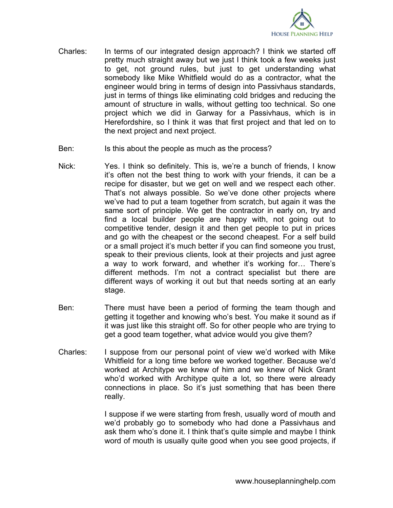

- Charles: In terms of our integrated design approach? I think we started off pretty much straight away but we just I think took a few weeks just to get, not ground rules, but just to get understanding what somebody like Mike Whitfield would do as a contractor, what the engineer would bring in terms of design into Passivhaus standards, just in terms of things like eliminating cold bridges and reducing the amount of structure in walls, without getting too technical. So one project which we did in Garway for a Passivhaus, which is in Herefordshire, so I think it was that first project and that led on to the next project and next project.
- Ben: Is this about the people as much as the process?
- Nick: Yes. I think so definitely. This is, we're a bunch of friends, I know it's often not the best thing to work with your friends, it can be a recipe for disaster, but we get on well and we respect each other. That's not always possible. So we've done other projects where we've had to put a team together from scratch, but again it was the same sort of principle. We get the contractor in early on, try and find a local builder people are happy with, not going out to competitive tender, design it and then get people to put in prices and go with the cheapest or the second cheapest. For a self build or a small project it's much better if you can find someone you trust, speak to their previous clients, look at their projects and just agree a way to work forward, and whether it's working for… There's different methods. I'm not a contract specialist but there are different ways of working it out but that needs sorting at an early stage.
- Ben: There must have been a period of forming the team though and getting it together and knowing who's best. You make it sound as if it was just like this straight off. So for other people who are trying to get a good team together, what advice would you give them?
- Charles: I suppose from our personal point of view we'd worked with Mike Whitfield for a long time before we worked together. Because we'd worked at Architype we knew of him and we knew of Nick Grant who'd worked with Architype quite a lot, so there were already connections in place. So it's just something that has been there really.

I suppose if we were starting from fresh, usually word of mouth and we'd probably go to somebody who had done a Passivhaus and ask them who's done it. I think that's quite simple and maybe I think word of mouth is usually quite good when you see good projects, if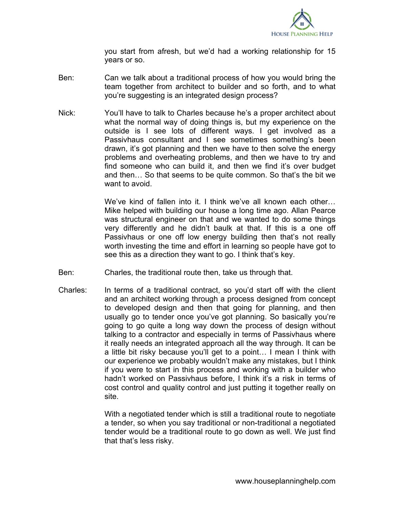

you start from afresh, but we'd had a working relationship for 15 years or so.

- Ben: Can we talk about a traditional process of how you would bring the team together from architect to builder and so forth, and to what you're suggesting is an integrated design process?
- Nick: You'll have to talk to Charles because he's a proper architect about what the normal way of doing things is, but my experience on the outside is I see lots of different ways. I get involved as a Passivhaus consultant and I see sometimes something's been drawn, it's got planning and then we have to then solve the energy problems and overheating problems, and then we have to try and find someone who can build it, and then we find it's over budget and then… So that seems to be quite common. So that's the bit we want to avoid.

We've kind of fallen into it. I think we've all known each other… Mike helped with building our house a long time ago. Allan Pearce was structural engineer on that and we wanted to do some things very differently and he didn't baulk at that. If this is a one off Passivhaus or one off low energy building then that's not really worth investing the time and effort in learning so people have got to see this as a direction they want to go. I think that's key.

- Ben: Charles, the traditional route then, take us through that.
- Charles: In terms of a traditional contract, so you'd start off with the client and an architect working through a process designed from concept to developed design and then that going for planning, and then usually go to tender once you've got planning. So basically you're going to go quite a long way down the process of design without talking to a contractor and especially in terms of Passivhaus where it really needs an integrated approach all the way through. It can be a little bit risky because you'll get to a point… I mean I think with our experience we probably wouldn't make any mistakes, but I think if you were to start in this process and working with a builder who hadn't worked on Passivhaus before, I think it's a risk in terms of cost control and quality control and just putting it together really on site.

With a negotiated tender which is still a traditional route to negotiate a tender, so when you say traditional or non-traditional a negotiated tender would be a traditional route to go down as well. We just find that that's less risky.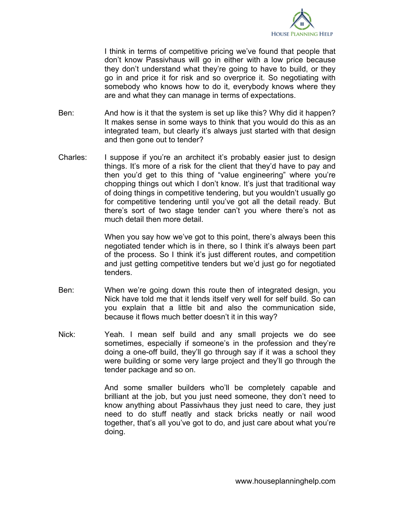

I think in terms of competitive pricing we've found that people that don't know Passivhaus will go in either with a low price because they don't understand what they're going to have to build, or they go in and price it for risk and so overprice it. So negotiating with somebody who knows how to do it, everybody knows where they are and what they can manage in terms of expectations.

- Ben: And how is it that the system is set up like this? Why did it happen? It makes sense in some ways to think that you would do this as an integrated team, but clearly it's always just started with that design and then gone out to tender?
- Charles: I suppose if you're an architect it's probably easier just to design things. It's more of a risk for the client that they'd have to pay and then you'd get to this thing of "value engineering" where you're chopping things out which I don't know. It's just that traditional way of doing things in competitive tendering, but you wouldn't usually go for competitive tendering until you've got all the detail ready. But there's sort of two stage tender can't you where there's not as much detail then more detail.

When you say how we've got to this point, there's always been this negotiated tender which is in there, so I think it's always been part of the process. So I think it's just different routes, and competition and just getting competitive tenders but we'd just go for negotiated tenders.

- Ben: When we're going down this route then of integrated design, you Nick have told me that it lends itself very well for self build. So can you explain that a little bit and also the communication side, because it flows much better doesn't it in this way?
- Nick: Yeah. I mean self build and any small projects we do see sometimes, especially if someone's in the profession and they're doing a one-off build, they'll go through say if it was a school they were building or some very large project and they'll go through the tender package and so on.

And some smaller builders who'll be completely capable and brilliant at the job, but you just need someone, they don't need to know anything about Passivhaus they just need to care, they just need to do stuff neatly and stack bricks neatly or nail wood together, that's all you've got to do, and just care about what you're doing.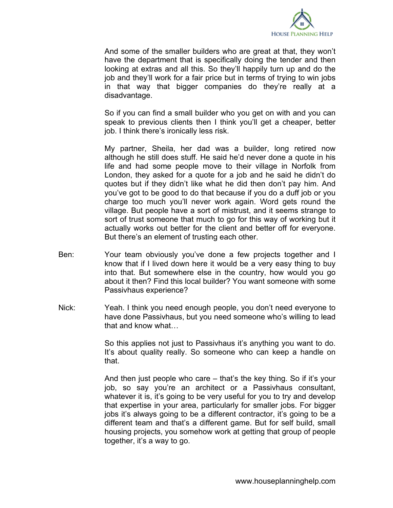

And some of the smaller builders who are great at that, they won't have the department that is specifically doing the tender and then looking at extras and all this. So they'll happily turn up and do the job and they'll work for a fair price but in terms of trying to win jobs in that way that bigger companies do they're really at a disadvantage.

So if you can find a small builder who you get on with and you can speak to previous clients then I think you'll get a cheaper, better job. I think there's ironically less risk.

My partner, Sheila, her dad was a builder, long retired now although he still does stuff. He said he'd never done a quote in his life and had some people move to their village in Norfolk from London, they asked for a quote for a job and he said he didn't do quotes but if they didn't like what he did then don't pay him. And you've got to be good to do that because if you do a duff job or you charge too much you'll never work again. Word gets round the village. But people have a sort of mistrust, and it seems strange to sort of trust someone that much to go for this way of working but it actually works out better for the client and better off for everyone. But there's an element of trusting each other.

- Ben: Your team obviously you've done a few projects together and I know that if I lived down here it would be a very easy thing to buy into that. But somewhere else in the country, how would you go about it then? Find this local builder? You want someone with some Passivhaus experience?
- Nick: Yeah. I think you need enough people, you don't need everyone to have done Passivhaus, but you need someone who's willing to lead that and know what…

So this applies not just to Passivhaus it's anything you want to do. It's about quality really. So someone who can keep a handle on that.

And then just people who care – that's the key thing. So if it's your job, so say you're an architect or a Passivhaus consultant, whatever it is, it's going to be very useful for you to try and develop that expertise in your area, particularly for smaller jobs. For bigger jobs it's always going to be a different contractor, it's going to be a different team and that's a different game. But for self build, small housing projects, you somehow work at getting that group of people together, it's a way to go.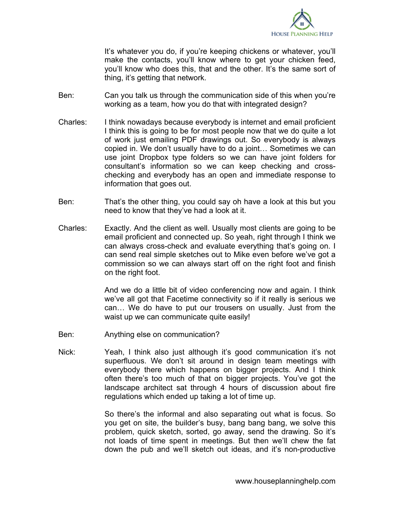

It's whatever you do, if you're keeping chickens or whatever, you'll make the contacts, you'll know where to get your chicken feed, you'll know who does this, that and the other. It's the same sort of thing, it's getting that network.

- Ben: Can you talk us through the communication side of this when you're working as a team, how you do that with integrated design?
- Charles: I think nowadays because everybody is internet and email proficient I think this is going to be for most people now that we do quite a lot of work just emailing PDF drawings out. So everybody is always copied in. We don't usually have to do a joint… Sometimes we can use joint Dropbox type folders so we can have joint folders for consultant's information so we can keep checking and crosschecking and everybody has an open and immediate response to information that goes out.
- Ben: That's the other thing, you could say oh have a look at this but you need to know that they've had a look at it.
- Charles: Exactly. And the client as well. Usually most clients are going to be email proficient and connected up. So yeah, right through I think we can always cross-check and evaluate everything that's going on. I can send real simple sketches out to Mike even before we've got a commission so we can always start off on the right foot and finish on the right foot.

And we do a little bit of video conferencing now and again. I think we've all got that Facetime connectivity so if it really is serious we can… We do have to put our trousers on usually. Just from the waist up we can communicate quite easily!

- Ben: Anything else on communication?
- Nick: Yeah, I think also just although it's good communication it's not superfluous. We don't sit around in design team meetings with everybody there which happens on bigger projects. And I think often there's too much of that on bigger projects. You've got the landscape architect sat through 4 hours of discussion about fire regulations which ended up taking a lot of time up.

So there's the informal and also separating out what is focus. So you get on site, the builder's busy, bang bang bang, we solve this problem, quick sketch, sorted, go away, send the drawing. So it's not loads of time spent in meetings. But then we'll chew the fat down the pub and we'll sketch out ideas, and it's non-productive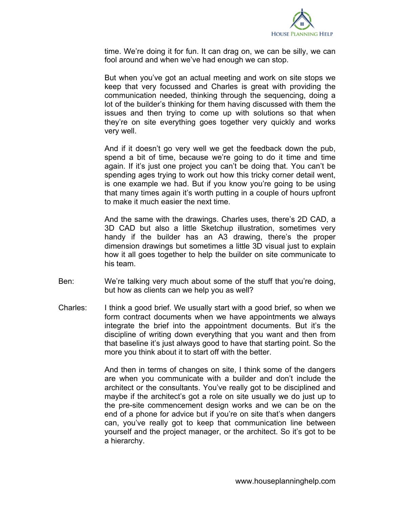

time. We're doing it for fun. It can drag on, we can be silly, we can fool around and when we've had enough we can stop.

But when you've got an actual meeting and work on site stops we keep that very focussed and Charles is great with providing the communication needed, thinking through the sequencing, doing a lot of the builder's thinking for them having discussed with them the issues and then trying to come up with solutions so that when they're on site everything goes together very quickly and works very well.

And if it doesn't go very well we get the feedback down the pub, spend a bit of time, because we're going to do it time and time again. If it's just one project you can't be doing that. You can't be spending ages trying to work out how this tricky corner detail went, is one example we had. But if you know you're going to be using that many times again it's worth putting in a couple of hours upfront to make it much easier the next time.

And the same with the drawings. Charles uses, there's 2D CAD, a 3D CAD but also a little Sketchup illustration, sometimes very handy if the builder has an A3 drawing, there's the proper dimension drawings but sometimes a little 3D visual just to explain how it all goes together to help the builder on site communicate to his team.

- Ben: We're talking very much about some of the stuff that you're doing, but how as clients can we help you as well?
- Charles: I think a good brief. We usually start with a good brief, so when we form contract documents when we have appointments we always integrate the brief into the appointment documents. But it's the discipline of writing down everything that you want and then from that baseline it's just always good to have that starting point. So the more you think about it to start off with the better.

And then in terms of changes on site, I think some of the dangers are when you communicate with a builder and don't include the architect or the consultants. You've really got to be disciplined and maybe if the architect's got a role on site usually we do just up to the pre-site commencement design works and we can be on the end of a phone for advice but if you're on site that's when dangers can, you've really got to keep that communication line between yourself and the project manager, or the architect. So it's got to be a hierarchy.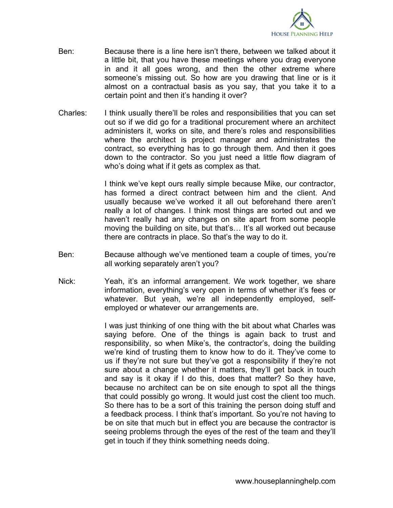

- Ben: Because there is a line here isn't there, between we talked about it a little bit, that you have these meetings where you drag everyone in and it all goes wrong, and then the other extreme where someone's missing out. So how are you drawing that line or is it almost on a contractual basis as you say, that you take it to a certain point and then it's handing it over?
- Charles: I think usually there'll be roles and responsibilities that you can set out so if we did go for a traditional procurement where an architect administers it, works on site, and there's roles and responsibilities where the architect is project manager and administrates the contract, so everything has to go through them. And then it goes down to the contractor. So you just need a little flow diagram of who's doing what if it gets as complex as that.

I think we've kept ours really simple because Mike, our contractor, has formed a direct contract between him and the client. And usually because we've worked it all out beforehand there aren't really a lot of changes. I think most things are sorted out and we haven't really had any changes on site apart from some people moving the building on site, but that's… It's all worked out because there are contracts in place. So that's the way to do it.

- Ben: Because although we've mentioned team a couple of times, you're all working separately aren't you?
- Nick: Yeah, it's an informal arrangement. We work together, we share information, everything's very open in terms of whether it's fees or whatever. But yeah, we're all independently employed, selfemployed or whatever our arrangements are.

I was just thinking of one thing with the bit about what Charles was saying before. One of the things is again back to trust and responsibility, so when Mike's, the contractor's, doing the building we're kind of trusting them to know how to do it. They've come to us if they're not sure but they've got a responsibility if they're not sure about a change whether it matters, they'll get back in touch and say is it okay if I do this, does that matter? So they have, because no architect can be on site enough to spot all the things that could possibly go wrong. It would just cost the client too much. So there has to be a sort of this training the person doing stuff and a feedback process. I think that's important. So you're not having to be on site that much but in effect you are because the contractor is seeing problems through the eyes of the rest of the team and they'll get in touch if they think something needs doing.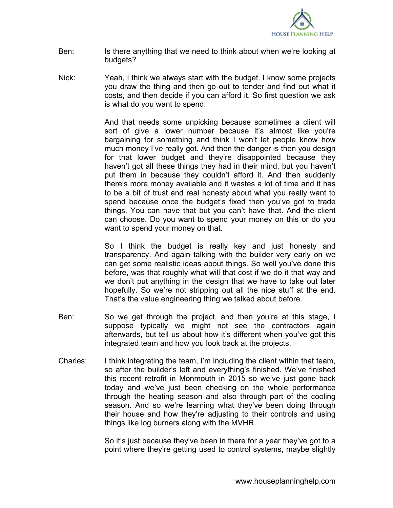

- Ben: Is there anything that we need to think about when we're looking at budgets?
- Nick: Yeah, I think we always start with the budget. I know some projects you draw the thing and then go out to tender and find out what it costs, and then decide if you can afford it. So first question we ask is what do you want to spend.

And that needs some unpicking because sometimes a client will sort of give a lower number because it's almost like you're bargaining for something and think I won't let people know how much money I've really got. And then the danger is then you design for that lower budget and they're disappointed because they haven't got all these things they had in their mind, but you haven't put them in because they couldn't afford it. And then suddenly there's more money available and it wastes a lot of time and it has to be a bit of trust and real honesty about what you really want to spend because once the budget's fixed then you've got to trade things. You can have that but you can't have that. And the client can choose. Do you want to spend your money on this or do you want to spend your money on that.

So I think the budget is really key and just honesty and transparency. And again talking with the builder very early on we can get some realistic ideas about things. So well you've done this before, was that roughly what will that cost if we do it that way and we don't put anything in the design that we have to take out later hopefully. So we're not stripping out all the nice stuff at the end. That's the value engineering thing we talked about before.

- Ben: So we get through the project, and then you're at this stage, I suppose typically we might not see the contractors again afterwards, but tell us about how it's different when you've got this integrated team and how you look back at the projects.
- Charles: I think integrating the team, I'm including the client within that team, so after the builder's left and everything's finished. We've finished this recent retrofit in Monmouth in 2015 so we've just gone back today and we've just been checking on the whole performance through the heating season and also through part of the cooling season. And so we're learning what they've been doing through their house and how they're adjusting to their controls and using things like log burners along with the MVHR.

So it's just because they've been in there for a year they've got to a point where they're getting used to control systems, maybe slightly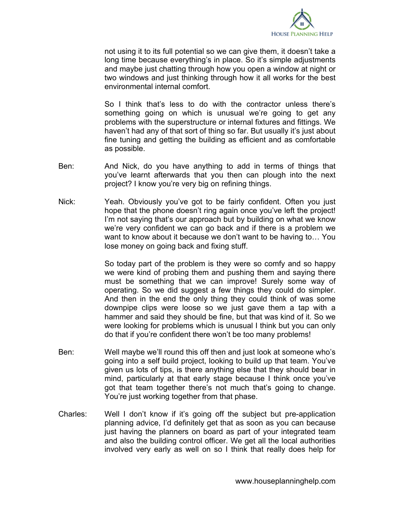

not using it to its full potential so we can give them, it doesn't take a long time because everything's in place. So it's simple adjustments and maybe just chatting through how you open a window at night or two windows and just thinking through how it all works for the best environmental internal comfort.

So I think that's less to do with the contractor unless there's something going on which is unusual we're going to get any problems with the superstructure or internal fixtures and fittings. We haven't had any of that sort of thing so far. But usually it's just about fine tuning and getting the building as efficient and as comfortable as possible.

- Ben: And Nick, do you have anything to add in terms of things that you've learnt afterwards that you then can plough into the next project? I know you're very big on refining things.
- Nick: Yeah. Obviously you've got to be fairly confident. Often you just hope that the phone doesn't ring again once you've left the project! I'm not saying that's our approach but by building on what we know we're very confident we can go back and if there is a problem we want to know about it because we don't want to be having to… You lose money on going back and fixing stuff.

So today part of the problem is they were so comfy and so happy we were kind of probing them and pushing them and saying there must be something that we can improve! Surely some way of operating. So we did suggest a few things they could do simpler. And then in the end the only thing they could think of was some downpipe clips were loose so we just gave them a tap with a hammer and said they should be fine, but that was kind of it. So we were looking for problems which is unusual I think but you can only do that if you're confident there won't be too many problems!

- Ben: Well maybe we'll round this off then and just look at someone who's going into a self build project, looking to build up that team. You've given us lots of tips, is there anything else that they should bear in mind, particularly at that early stage because I think once you've got that team together there's not much that's going to change. You're just working together from that phase.
- Charles: Well I don't know if it's going off the subject but pre-application planning advice, I'd definitely get that as soon as you can because just having the planners on board as part of your integrated team and also the building control officer. We get all the local authorities involved very early as well on so I think that really does help for